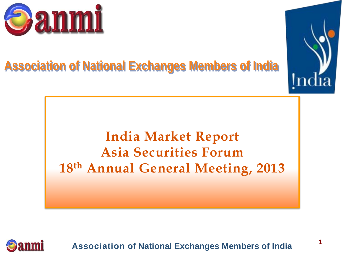

## **Association of National Exchanges Members of India**



# **India Market Report Asia Securities Forum 18th Annual General Meeting, 2013**

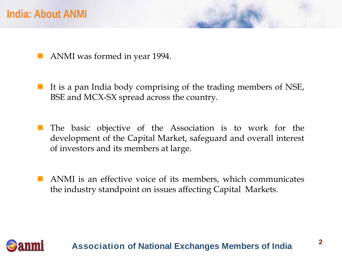- ANMI was formed in year 1994.
- It is a pan India body comprising of the trading members of NSE, BSE and MCX-SX spread across the country.
- The basic objective of the Association is to work for the development of the Capital Market, safeguard and overall interest of investors and its members at large.
- ANMI is an effective voice of its members, which communicates the industry standpoint on issues affecting Capital Markets.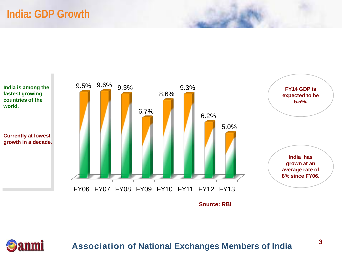### **India: GDP Growth**

**anmi** 

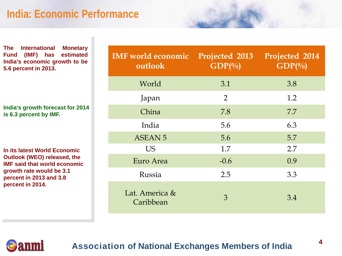### **India: Economic Performance**

**The International Monetary Fund (IMF) has estimated India's economic growth to be 5.6 percent in 2013.**

**India's growth forecast for 2014 is 6.3 percent by IMF.**

**In its latest World Economic Outlook (WEO) released, the IMF said that world economic growth rate would be 3.1 percent in 2013 and 3.8 percent in 2014.**

| <b>IMF</b> world economic<br>outlook | <b>Projected 2013</b><br>$GDP(^{0}_{0})$ | Projected 2014<br>$GDP(^{0}_{0})$ |
|--------------------------------------|------------------------------------------|-----------------------------------|
| World                                | 3.1                                      | 3.8                               |
| Japan                                | $\overline{2}$                           | 1.2                               |
| China                                | 7.8                                      | 7.7                               |
| India                                | 5.6                                      | 6.3                               |
| <b>ASEAN 5</b>                       | 5.6                                      | 5.7                               |
| <b>US</b>                            | 1.7                                      | 2.7                               |
| Euro Area                            | $-0.6$                                   | 0.9                               |
| Russia                               | 2.5                                      | 3.3                               |
| Lat. America &<br>Caribbean          | 3                                        | 3.4                               |

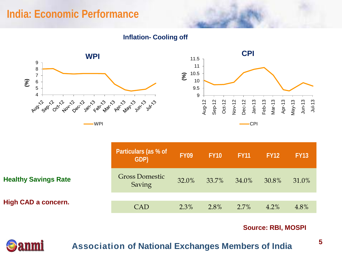### **India: Economic Performance**

**Inflation- Cooling off**





|                             | Particulars (as % of<br>GDP)    | <b>FY09</b> | <b>FY10</b> | <b>FY11</b> | <b>FY12</b> | <b>FY13</b> |
|-----------------------------|---------------------------------|-------------|-------------|-------------|-------------|-------------|
| <b>Healthy Savings Rate</b> | <b>Gross Domestic</b><br>Saving | 32.0%       | 33.7%       | 34.0%       | 30.8%       | 31.0%       |
| <b>High CAD a concern.</b>  | <b>CAD</b>                      | 2.3%        | $2.8\%$     | 2.7%        | $4.2\%$     | 4.8%        |

#### **Source: RBI, MOSPI**

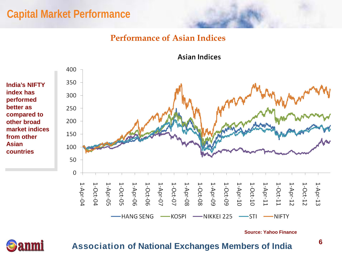### **Capital Market Performance**

#### **Performance of Asian Indices**

400 350 300 250 200 150 100 50 0 1-Apr-13<br>
1-Apr-11<br>
1-Apr-11<br>
1-Apr-11<br>
1-Apr-11<br>
1-Apr-11<br>
1-Apr-11<br>
1-Apr-11<br>
1-Apr-11<br>
1-Apr-11<br>
1-Apr-11<br>
1-Apr-11<br>
1-Apr-11<br>
1-Apr-10<br>
1-Apr-10<br>
1-Apr-10<br>
1-Apr-10<br>
1-Apr-10<br>
1-Apr-10<br>
1-Apr-10<br>
1-Apr-10<br>
1-Apr-10<br>
1- $1 -$ Apr-04 1-Oct-04 -HANG SENG -KOSPI -NIKKEI 225  $-STI$  $\longrightarrow$  NIFTY

**Source: Yahoo Finance**

**Association of National Exchanges Members of India**

**India's NIFTY index has performed better as compared to other broad market indices from other Asian countries**

**Asian Indices** 

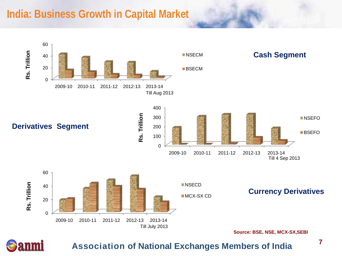### **India: Business Growth in Capital Market**



anmi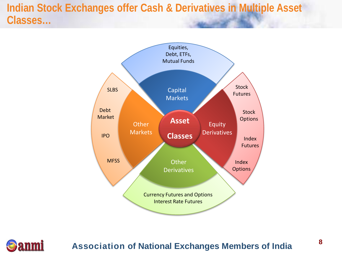### **Indian Stock Exchanges offer Cash & Derivatives in Multiple Asset Classes…**



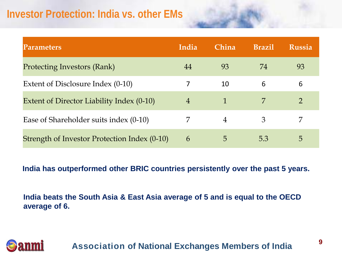### **Investor Protection: India vs. other EMs**

anmi

| <b>Parameters</b>                            | India          | China          | <b>Brazil</b> | <b>Russia</b>  |
|----------------------------------------------|----------------|----------------|---------------|----------------|
| <b>Protecting Investors (Rank)</b>           | 44             | 93             | 74            | 93             |
| Extent of Disclosure Index (0-10)            |                | 10             | 6             | 6              |
| Extent of Director Liability Index (0-10)    | $\overline{4}$ | 1              | 7             | $\overline{2}$ |
| Ease of Shareholder suits index (0-10)       |                | $\overline{4}$ | 3             | 7              |
| Strength of Investor Protection Index (0-10) | 6              | 5              | 5.3           | $\circ$        |

**India has outperformed other BRIC countries persistently over the past 5 years.** 

**India beats the South Asia & East Asia average of 5 and is equal to the OECD average of 6.**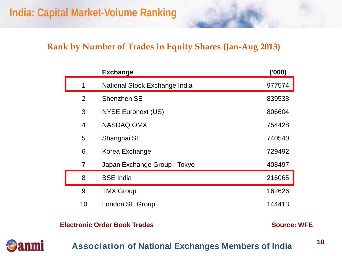#### **Rank by Number of Trades in Equity Shares (Jan-Aug 2013)**

|                | <b>Exchange</b>               | (000)  |
|----------------|-------------------------------|--------|
| 1              | National Stock Exchange India | 977574 |
| 2              | Shenzhen SE                   | 839538 |
| 3              | <b>NYSE Euronext (US)</b>     | 806604 |
| $\overline{4}$ | <b>NASDAQ OMX</b>             | 754428 |
| 5              | Shanghai SE                   | 740540 |
| 6              | Korea Exchange                | 729492 |
| $\overline{7}$ | Japan Exchange Group - Tokyo  | 408497 |
| 8              | <b>BSE India</b>              | 216065 |
| 9              | <b>TMX Group</b>              | 162626 |
| 10             | London SE Group               | 144413 |
|                |                               |        |

**Electronic Order Book Trades**

**Source: WFE**



#### **Association of National Exchanges Members of India**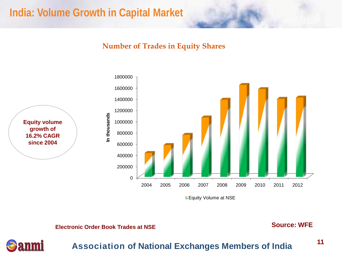### **India: Volume Growth in Capital Market**

#### **Number of Trades in Equity Shares**



**Equity Volume at NSE** 

**Electronic Order Book Trades at NSE Source: WFE** 



#### **Association of National Exchanges Members of India**

**11**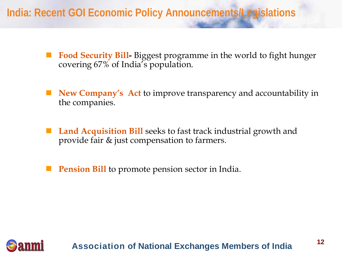### **India: Recent GOI Economic Policy Announcements/Legislations**

- **Food Security Bill-** Biggest programme in the world to fight hunger covering 67% of India's population.
- **New Company's Act** to improve transparency and accountability in the companies.
- **Land Acquisition Bill** seeks to fast track industrial growth and provide fair & just compensation to farmers.
- **Pension Bill** to promote pension sector in India.

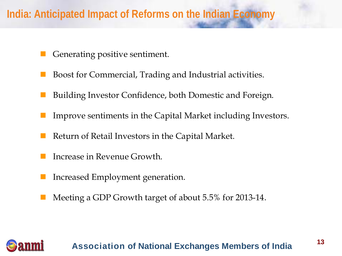### **India: Anticipated Impact of Reforms on the Indian Economy**

- Generating positive sentiment.
- Boost for Commercial, Trading and Industrial activities.
- Building Investor Confidence, both Domestic and Foreign.
- Improve sentiments in the Capital Market including Investors.
- Return of Retail Investors in the Capital Market.
- Increase in Revenue Growth.
- Increased Employment generation.
- Meeting a GDP Growth target of about 5.5% for 2013-14.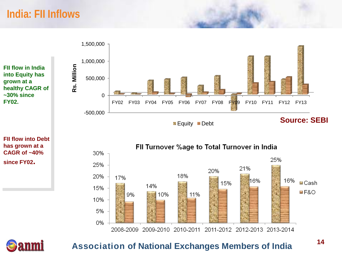### **India: FII Inflows**

**FII flow in India into Equity has grown at a healthy CAGR of ~30% since FY02.**







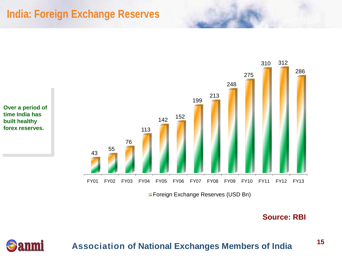### **India: Foreign Exchange Reserves**

anmi



**Source: RBI**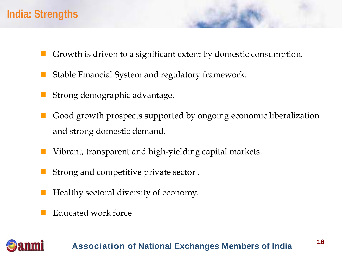### **India: Strengths**

- Growth is driven to a significant extent by domestic consumption.
- Stable Financial System and regulatory framework.
- Strong demographic advantage.
- Good growth prospects supported by ongoing economic liberalization and strong domestic demand.
- Vibrant, transparent and high-yielding capital markets.
- Strong and competitive private sector .
- Healthy sectoral diversity of economy.
- Educated work force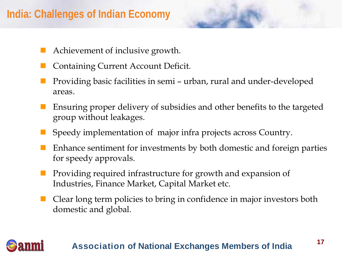### **India: Challenges of Indian Economy**

- Achievement of inclusive growth.
- Containing Current Account Deficit.
- Providing basic facilities in semi urban, rural and under-developed areas.
- Ensuring proper delivery of subsidies and other benefits to the targeted group without leakages.
- Speedy implementation of major infra projects across Country.
- Enhance sentiment for investments by both domestic and foreign parties for speedy approvals.
- Providing required infrastructure for growth and expansion of Industries, Finance Market, Capital Market etc.
- Clear long term policies to bring in confidence in major investors both domestic and global.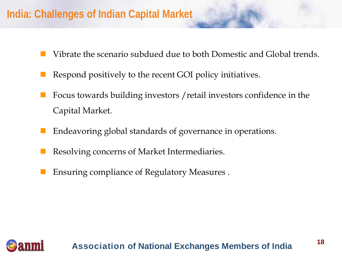### **India: Challenges of Indian Capital Market**

- Vibrate the scenario subdued due to both Domestic and Global trends.
- Respond positively to the recent GOI policy initiatives.
- Focus towards building investors /retail investors confidence in the Capital Market.
- Endeavoring global standards of governance in operations.
- Resolving concerns of Market Intermediaries.
- Ensuring compliance of Regulatory Measures .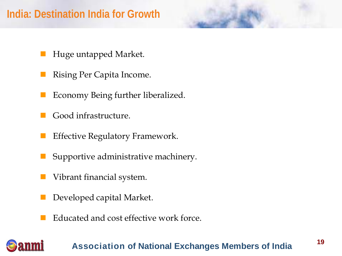### **India: Destination India for Growth**

- Huge untapped Market.
- Rising Per Capita Income.
- Economy Being further liberalized.
- Good infrastructure.
- Effective Regulatory Framework.
- Supportive administrative machinery.
- Vibrant financial system.
- Developed capital Market.
- Educated and cost effective work force.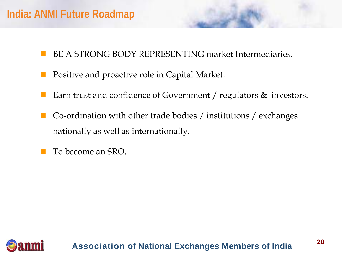### **India: ANMI Future Roadmap**

- BE A STRONG BODY REPRESENTING market Intermediaries.
- Positive and proactive role in Capital Market.
- Earn trust and confidence of Government / regulators & investors.
- Co-ordination with other trade bodies / institutions / exchanges nationally as well as internationally.
- To become an SRO.